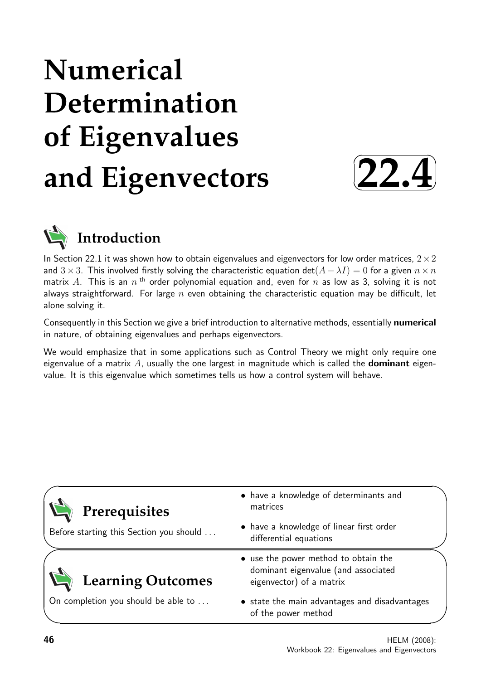# **Numerical Determination of Eigenvalues and Eigenvectors**





# **Introduction**

In Section 22.1 it was shown how to obtain eigenvalues and eigenvectors for low order matrices,  $2 \times 2$ and  $3\times3$ . This involved firstly solving the characteristic equation det( $A-\lambda I$ ) = 0 for a given  $n\times n$ matrix  $A$ . This is an  $n$  <sup>th</sup> order polynomial equation and, even for  $n$  as low as 3, solving it is not always straightforward. For large  $n$  even obtaining the characteristic equation may be difficult, let alone solving it.

Consequently in this Section we give a brief introduction to alternative methods, essentially numerical in nature, of obtaining eigenvalues and perhaps eigenvectors.

We would emphasize that in some applications such as Control Theory we might only require one eigenvalue of a matrix  $A$ , usually the one largest in magnitude which is called the **dominant** eigenvalue. It is this eigenvalue which sometimes tells us how a control system will behave.

|                                         | • have a knowledge of determinants and                                                                  |
|-----------------------------------------|---------------------------------------------------------------------------------------------------------|
| Prerequisites                           | matrices                                                                                                |
| Before starting this Section you should | • have a knowledge of linear first order<br>differential equations                                      |
| <b>Learning Outcomes</b>                | • use the power method to obtain the<br>dominant eigenvalue (and associated<br>eigenvector) of a matrix |
| On completion you should be able to     | • state the main advantages and disadvantages<br>of the power method                                    |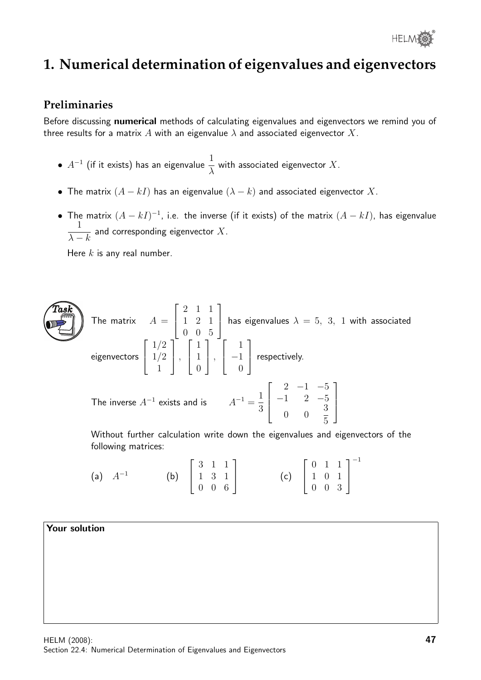

# **1. Numerical determination of eigenvalues and eigenvectors**

### **Preliminaries**

Before discussing numerical methods of calculating eigenvalues and eigenvectors we remind you of three results for a matrix A with an eigenvalue  $\lambda$  and associated eigenvector X.

- $\bullet$   $A^{-1}$  (if it exists) has an eigenvalue  $\frac{1}{\lambda}$ λ with associated eigenvector  $X.$
- The matrix  $(A kI)$  has an eigenvalue  $(\lambda k)$  and associated eigenvector X.
- The matrix  $(A kI)^{-1}$ , i.e. the inverse (if it exists) of the matrix  $(A kI)$ , has eigenvalue 1  $\lambda - k$ and corresponding eigenvector  $X$ .

Here  $k$  is any real number.

The matrix 
$$
A = \begin{bmatrix} 2 & 1 & 1 \\ 1 & 2 & 1 \\ 0 & 0 & 5 \end{bmatrix}
$$
 has eigenvalues  $\lambda = 5, 3, 1$  with associated eigenvectors  $\begin{bmatrix} 1/2 \\ 1/2 \\ 1 \end{bmatrix}$ ,  $\begin{bmatrix} 1 \\ 1 \\ 0 \end{bmatrix}$ ,  $\begin{bmatrix} 1 \\ -1 \\ 0 \end{bmatrix}$  respectively.  
The inverse  $A^{-1}$  exists and is  $A^{-1} = \frac{1}{3} \begin{bmatrix} 2 & -1 & -5 \\ -1 & 2 & -5 \\ 0 & 0 & \frac{3}{5} \end{bmatrix}$ 

Without further calculation write down the eigenvalues and eigenvectors of the following matrices:

(a) 
$$
A^{-1}
$$
 (b)  $\begin{bmatrix} 3 & 1 & 1 \\ 1 & 3 & 1 \\ 0 & 0 & 6 \end{bmatrix}$  (c)  $\begin{bmatrix} 0 & 1 & 1 \\ 1 & 0 & 1 \\ 0 & 0 & 3 \end{bmatrix}^{-1}$ 

#### Your solution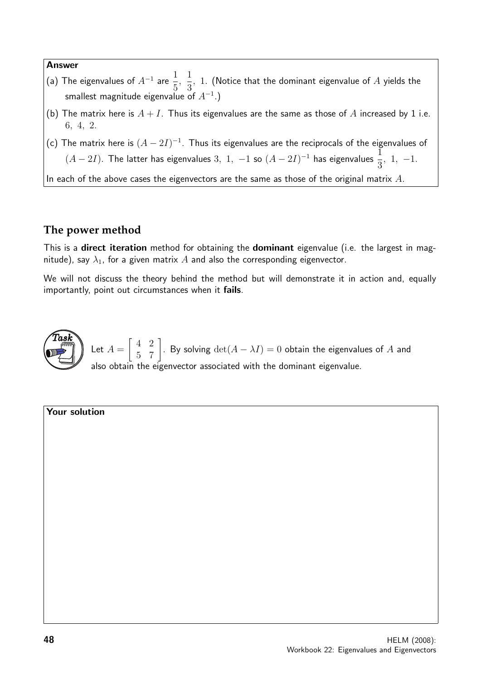#### Answer

- (a) The eigenvalues of  $A^{-1}$  are 1 5 , 1 3  $,~1.~$  (Notice that the dominant eigenvalue of  $A$  yields the smallest magnitude eigenvalue of  $A^{-1}$ .)
- (b) The matrix here is  $A + I$ . Thus its eigenvalues are the same as those of A increased by 1 i.e. 6, 4, 2.
- (c) The matrix here is  $(A 2I)^{-1}$ . Thus its eigenvalues are the reciprocals of the eigenvalues of  $(A-2I)$ . The latter has eigenvalues  $3, 1, -1$  so  $(A-2I)^{-1}$  has eigenvalues  $\frac{1}{2}$ 3 , 1, −1.

In each of the above cases the eigenvectors are the same as those of the original matrix  $A$ .

# **The power method**

This is a **direct iteration** method for obtaining the **dominant** eigenvalue (i.e. the largest in magnitude), say  $\lambda_1$ , for a given matrix A and also the corresponding eigenvector.

We will not discuss the theory behind the method but will demonstrate it in action and, equally importantly, point out circumstances when it fails.



Let  $A =$  $\begin{bmatrix} 4 & 2 \\ 5 & 7 \end{bmatrix}$ . By solving  $\det(A - \lambda I) = 0$  obtain the eigenvalues of A and also obtain the eigenvector associated with the dominant eigenvalue.

#### Your solution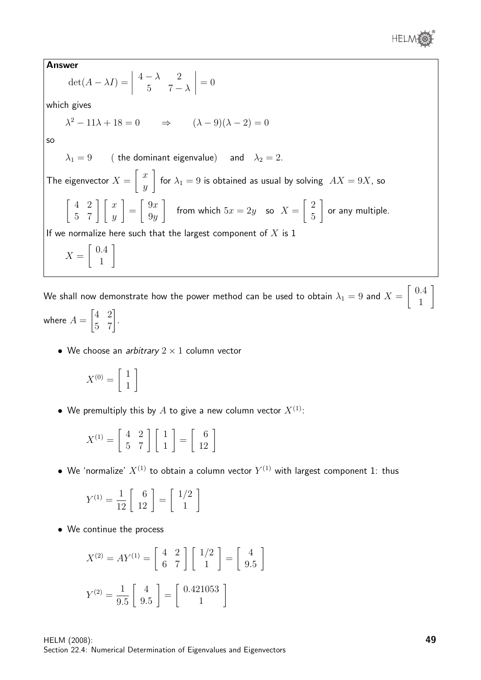

Answer  $\det(A - \lambda I) =$   $4 - \lambda$  2 5  $7 - \lambda$   $= 0$ which gives  $\lambda^2 - 11\lambda + 18 = 0 \Rightarrow (\lambda - 9)(\lambda - 2) = 0$ so  $\lambda_1 = 9$  (the dominant eigenvalue) and  $\lambda_2 = 2$ . The eigenvector  $X =$  $\lceil x \rceil$  $\hat{y}$ 1 for  $\lambda_1 = 9$  is obtained as usual by solving  $AX = 9X$ , so  $\left[\begin{array}{cc} 4 & 2 \\ 5 & 7 \end{array}\right] \left[\begin{array}{c} x \\ y \end{array}\right]$ 1 =  $\left[ \begin{array}{c} 9x \end{array} \right]$  $9y$ 1 from which  $5x = 2y$  so  $X =$  $\lceil 2$ 5 1 or any multiple. If we normalize here such that the largest component of  $X$  is 1  $X =$  $\left[ 0.4 \right]$ 1 1

We shall now demonstrate how the power method can be used to obtain  $\lambda_1=9$  and  $X=$  $\lceil 0.4 \rceil$ 1 1

where  $A =$  $\begin{bmatrix} 4 & 2 \\ 5 & 7 \end{bmatrix}.$ 

• We choose an *arbitrary*  $2 \times 1$  column vector

$$
X^{(0)} = \left[\begin{array}{c} 1 \\ 1 \end{array}\right]
$$

• We premultiply this by A to give a new column vector  $X^{(1)}$ :

$$
X^{(1)} = \left[ \begin{array}{cc} 4 & 2 \\ 5 & 7 \end{array} \right] \left[ \begin{array}{c} 1 \\ 1 \end{array} \right] = \left[ \begin{array}{c} 6 \\ 12 \end{array} \right]
$$

 $\bullet\,$  We 'normalize'  $X^{(1)}$  to obtain a column vector  $Y^{(1)}$  with largest component 1: thus

$$
Y^{(1)} = \frac{1}{12} \left[ \begin{array}{c} 6 \\ 12 \end{array} \right] = \left[ \begin{array}{c} 1/2 \\ 1 \end{array} \right]
$$

• We continue the process

$$
X^{(2)} = A Y^{(1)} = \begin{bmatrix} 4 & 2 \\ 6 & 7 \end{bmatrix} \begin{bmatrix} 1/2 \\ 1 \end{bmatrix} = \begin{bmatrix} 4 \\ 9.5 \end{bmatrix}
$$

$$
Y^{(2)} = \frac{1}{9.5} \begin{bmatrix} 4 \\ 9.5 \end{bmatrix} = \begin{bmatrix} 0.421053 \\ 1 \end{bmatrix}
$$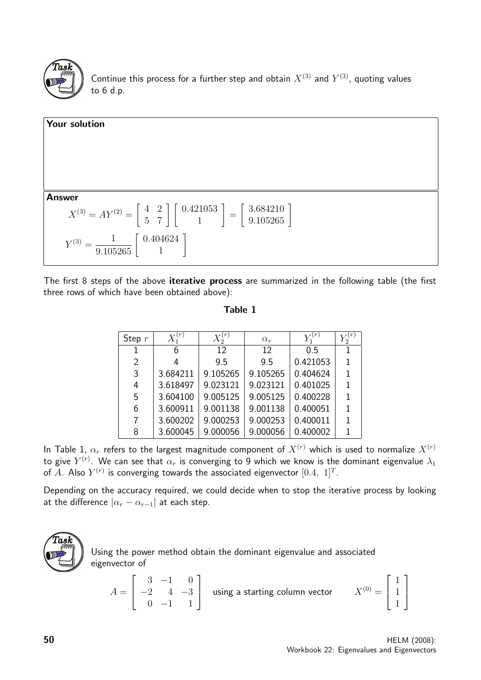

Continue this process for a further step and obtain  $X^{(3)}$  and  $Y^{(3)}$ , quoting values to 6 d.p.



The first 8 steps of the above iterative process are summarized in the following table (the first three rows of which have been obtained above):

| anıe |  |
|------|--|
|------|--|

| Step $r$ | (r)      | (r)      | $\alpha_r$ |          | $\mathcal{D}_{\mathcal{L}}$ |
|----------|----------|----------|------------|----------|-----------------------------|
|          | 6        | 12       | 12         | 0.5      |                             |
| 2        |          | 9.5      | 9.5        | 0.421053 |                             |
| 3        | 3.684211 | 9.105265 | 9.105265   | 0.404624 | 1                           |
| 4        | 3.618497 | 9.023121 | 9.023121   | 0.401025 | 1                           |
| 5        | 3.604100 | 9.005125 | 9.005125   | 0.400228 |                             |
| 6        | 3.600911 | 9.001138 | 9.001138   | 0.400051 |                             |
| 7        | 3.600202 | 9.000253 | 9.000253   | 0.400011 |                             |
| 8        | 3.600045 | 9.000056 | 9.000056   | 0.400002 |                             |

In Table 1,  $\alpha_r$  refers to the largest magnitude component of  $X^{(r)}$  which is used to normalize  $X^{(r)}$ to give  $Y^{(r)}.$  We can see that  $\alpha_r$  is converging to 9 which we know is the dominant eigenvalue  $\lambda_1$ of  $A$ . Also  $Y^{(r)}$  is converging towards the associated eigenvector  $[0.4, \; 1]^T.$ 

Depending on the accuracy required, we could decide when to stop the iterative process by looking at the difference  $|\alpha_r - \alpha_{r-1}|$  at each step.



Using the power method obtain the dominant eigenvalue and associated eigenvector of

$$
A = \begin{bmatrix} 3 & -1 & 0 \\ -2 & 4 & -3 \\ 0 & -1 & 1 \end{bmatrix}
$$
 using a starting column vector  $X^{(0)} = \begin{bmatrix} 1 \\ 1 \\ 1 \end{bmatrix}$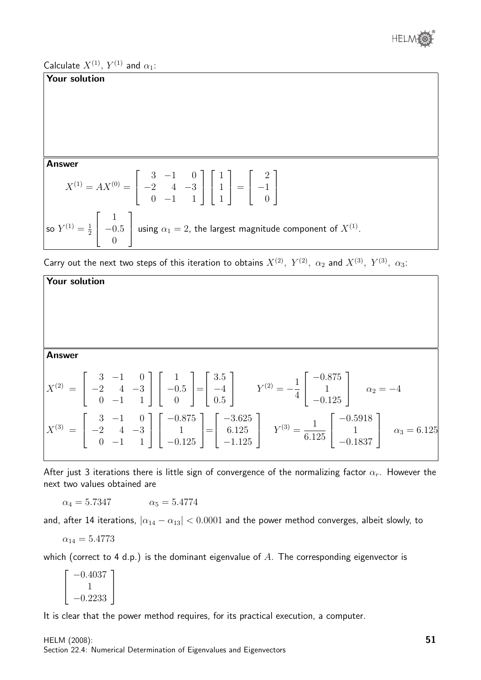

Calculate  $X^{(1)}$ ,  $Y^{(1)}$  and  $\alpha_1$ :

#### Your solution

#### Answer

$$
X^{(1)} = AX^{(0)} = \begin{bmatrix} 3 & -1 & 0 \\ -2 & 4 & -3 \\ 0 & -1 & 1 \end{bmatrix} \begin{bmatrix} 1 \\ 1 \\ 1 \end{bmatrix} = \begin{bmatrix} 2 \\ -1 \\ 0 \end{bmatrix}
$$
  
so  $Y^{(1)} = \frac{1}{2} \begin{bmatrix} 1 \\ -0.5 \\ 0 \end{bmatrix}$  using  $\alpha_1 = 2$ , the largest magnitude component of  $X^{(1)}$ .

Carry out the next two steps of this iteration to obtains  $X^{(2)}$ ,  $Y^{(2)}$ ,  $\alpha_2$  and  $X^{(3)}$ ,  $Y^{(3)}$ ,  $\alpha_3$ :



After just 3 iterations there is little sign of convergence of the normalizing factor  $\alpha_r$ . However the next two values obtained are

 $\alpha_4 = 5.7347 \qquad \alpha_5 = 5.4774$ 

and, after 14 iterations,  $|\alpha_{14} - \alpha_{13}| < 0.0001$  and the power method converges, albeit slowly, to

$$
\alpha_{14}=5.4773
$$

which (correct to 4 d.p.) is the dominant eigenvalue of A. The corresponding eigenvector is

 $\sqrt{ }$  $\overline{\phantom{a}}$ −0.4037 1 −0.2233 1  $\overline{1}$ 

It is clear that the power method requires, for its practical execution, a computer.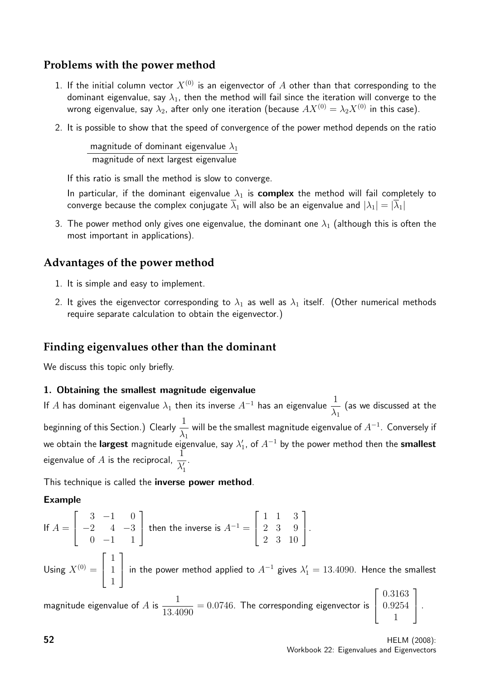# **Problems with the power method**

- 1. If the initial column vector  $X^{(0)}$  is an eigenvector of A other than that corresponding to the dominant eigenvalue, say  $\lambda_1$ , then the method will fail since the iteration will converge to the wrong eigenvalue, say  $\lambda_2$ , after only one iteration (because  $AX^{(0)} = \lambda_2 X^{(0)}$  in this case).
- 2. It is possible to show that the speed of convergence of the power method depends on the ratio

magnitude of dominant eigenvalue  $\lambda_1$ magnitude of next largest eigenvalue

If this ratio is small the method is slow to converge.

In particular, if the dominant eigenvalue  $\lambda_1$  is **complex** the method will fail completely to converge because the complex conjugate  $\overline{\lambda}_1$  will also be an eigenvalue and  $|\lambda_1| = |\overline{\lambda}_1|$ 

3. The power method only gives one eigenvalue, the dominant one  $\lambda_1$  (although this is often the most important in applications).

# **Advantages of the power method**

- 1. It is simple and easy to implement.
- 2. It gives the eigenvector corresponding to  $\lambda_1$  as well as  $\lambda_1$  itself. (Other numerical methods require separate calculation to obtain the eigenvector.)

# **Finding eigenvalues other than the dominant**

We discuss this topic only briefly.

#### 1. Obtaining the smallest magnitude eigenvalue

If A has dominant eigenvalue  $\lambda_1$  then its inverse  $A^{-1}$  has an eigenvalue  $\frac{1}{\lambda_1}$  $\lambda_1$ (as we discussed at the beginning of this Section.) Clearly  $\frac{1}{\sqrt{2}}$  $\lambda_1$ will be the smallest magnitude eigenvalue of  $A^{-1}.\:$  Conversely if we obtain the **largest** magnitude eigenvalue, say  $\lambda'_1$ , of  $A^{-1}$  by the power method then the <code>smallest</code> eigenvalue of A is the reciprocal,  $\frac{1}{\sqrt{2}}$  $\lambda'_1$ .

This technique is called the **inverse power method**.

#### Example

If 
$$
A = \begin{bmatrix} 3 & -1 & 0 \\ -2 & 4 & -3 \\ 0 & -1 & 1 \end{bmatrix}
$$
 then the inverse is  $A^{-1} = \begin{bmatrix} 1 & 1 & 3 \\ 2 & 3 & 9 \\ 2 & 3 & 10 \end{bmatrix}$ .

Using  $X^{(0)} =$  $\sqrt{ }$  $\overline{\phantom{a}}$ 1 1 1 1 in the power method applied to  $A^{-1}$  gives  $\lambda'_1 = 13.4090$ . Hence the smallest  $\sqrt{ }$ 0.3163 1

magnitude eigenvalue of A is  $\frac{1}{12.4}$ 13.4090  $= 0.0746$ . The corresponding eigenvector is  $\overline{\phantom{a}}$ 0.9254 1

 $\vert \cdot$